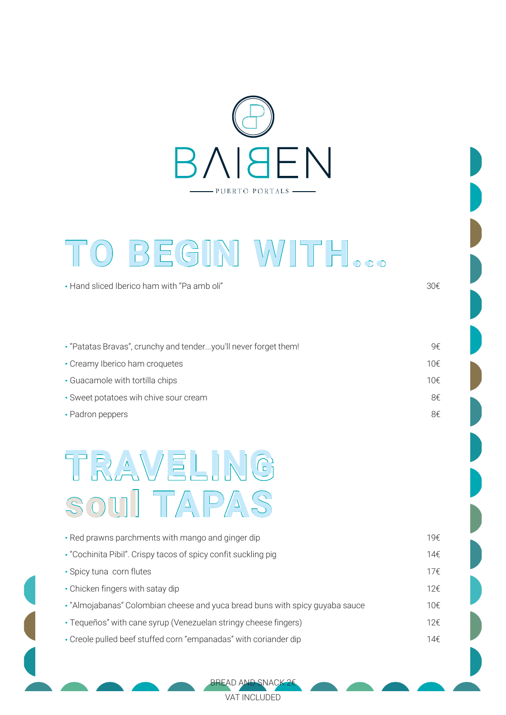

### **O BEGIN ITH... T W**

· Hand sliced Iberico ham with "Pa amb oli"

· "Patatas Bravas", crunchy and tender...you'll never forget them! 9€ · Creamy Iberico ham croquetes 10€ · Guacamole with tortilla chips 10€ · Sweet potatoes wih chive sour cream 8€ · Padron peppers 8€

## **TA soul PAS TRAVELING**

| • Red prawns parchments with mango and ginger dip                            | 19€ |
|------------------------------------------------------------------------------|-----|
| • "Cochinita Pibil". Crispy tacos of spicy confit suckling pig               | 14€ |
| • Spicy tuna corn flutes                                                     | 17f |
| • Chicken fingers with satay dip                                             | 12f |
| • "Almojabanas" Colombian cheese and yuca bread buns with spicy guyaba sauce | 10€ |
| • Tequeños" with cane syrup (Venezuelan stringy cheese fingers)              | 12f |
| • Creole pulled beef stuffed corn "empanadas" with coriander dip             | 14€ |
|                                                                              |     |

BREAD AND SNACK 2€ VAT INCLUDED

30€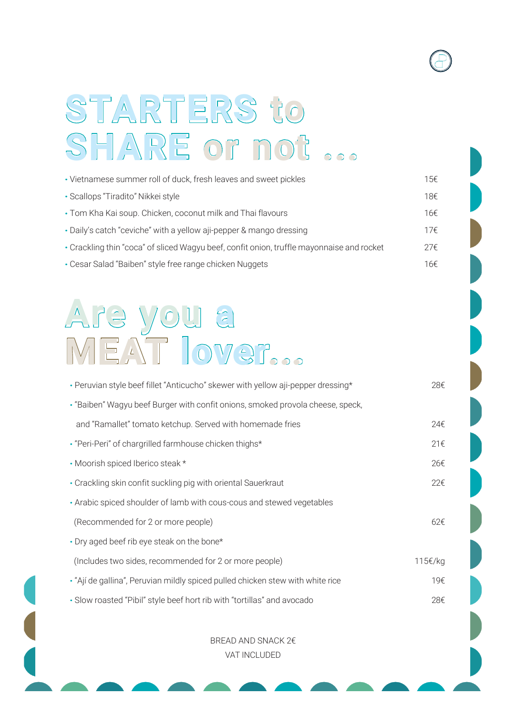# **STARTERS to SHARE or not ...**

| • Vietnamese summer roll of duck, fresh leaves and sweet pickles                          | 15€ |
|-------------------------------------------------------------------------------------------|-----|
| • Scallops "Tiradito" Nikkei style                                                        | 18€ |
| • Tom Kha Kai soup. Chicken, coconut milk and Thai flavours                               | 16€ |
| • Daily's catch "ceviche" with a yellow aji-pepper & mango dressing                       | 17f |
| • Crackling thin "coca" of sliced Wagyu beef, confit onion, truffle mayonnaise and rocket | 27€ |
| • Cesar Salad "Baiben" style free range chicken Nuggets                                   | 16€ |

### **Are you a MEAT lover...**

| • Peruvian style beef fillet "Anticucho" skewer with yellow aji-pepper dressing* | 28€          |
|----------------------------------------------------------------------------------|--------------|
| · "Baiben" Wagyu beef Burger with confit onions, smoked provola cheese, speck,   |              |
| and "Ramallet" tomato ketchup. Served with homemade fries                        | 24€          |
| • "Peri-Peri" of chargrilled farmhouse chicken thighs*                           | 21€          |
| • Moorish spiced Iberico steak *                                                 | 26€          |
| • Crackling skin confit suckling pig with oriental Sauerkraut                    | 22€          |
| • Arabic spiced shoulder of lamb with cous-cous and stewed vegetables            |              |
| (Recommended for 2 or more people)                                               | $62\epsilon$ |
| • Dry aged beef rib eye steak on the bone*                                       |              |
| (Includes two sides, recommended for 2 or more people)                           | 115€/kg      |
| • "Ají de gallina", Peruvian mildly spiced pulled chicken stew with white rice   | 19€          |
| • Slow roasted "Pibil" style beef hort rib with "tortillas" and avocado          | 28€          |

BREAD AND SNACK 2€ VAT INCLUDED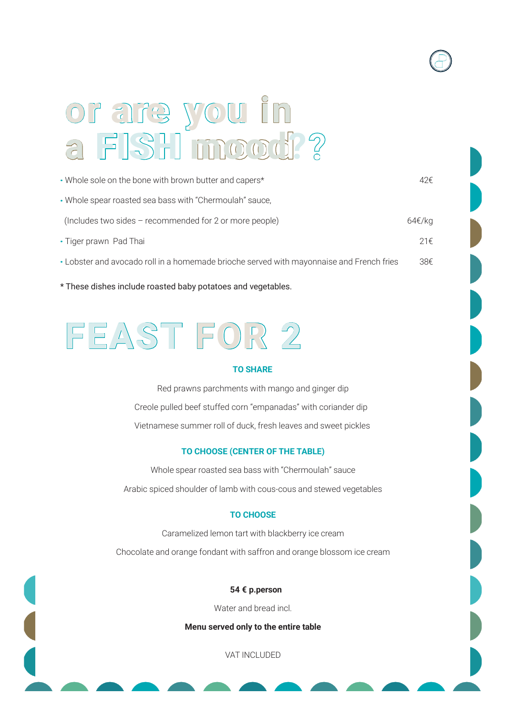### **or are you in a FISH mood?**

| • Whole sole on the bone with brown butter and capers*                                   | 42€    |
|------------------------------------------------------------------------------------------|--------|
| • Whole spear roasted sea bass with "Chermoulah" sauce,                                  |        |
| (Includes two sides - recommended for 2 or more people)                                  | 64€/kg |
| • Tiger prawn Pad Thai                                                                   | 21f    |
| • Lobster and avocado roll in a homemade brioche served with mayonnaise and French fries | 38€    |

\* These dishes include roasted baby potatoes and vegetables.

### **FEAS FOR 2 T**

#### **TO SHARE**

Red prawns parchments with mango and ginger dip Creole pulled beef stuffed corn "empanadas" with coriander dip Vietnamese summer roll of duck, fresh leaves and sweet pickles

#### **TO CHOOSE (CENTER OF THE TABLE)**

Whole spear roasted sea bass with "Chermoulah" sauce Arabic spiced shoulder of lamb with cous-cous and stewed vegetables

#### **TO CHOOSE**

Caramelized lemon tart with blackberry ice cream Chocolate and orange fondant with saffron and orange blossom ice cream

**54 € p.person**

Water and bread incl.

**Menu served only to the entire table**

VAT INCLUDED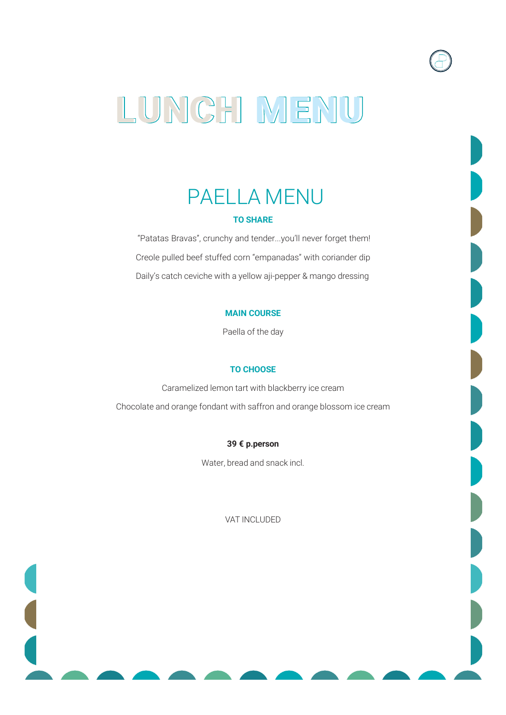### **LUNCH MENU**

### PAELLA MENU **TO SHARE**

"Patatas Bravas", crunchy and tender...you'll never forget them! Creole pulled beef stuffed corn "empanadas" with coriander dip Daily's catch ceviche with a yellow aji-pepper & mango dressing

#### **MAIN COURSE**

Paella of the day

#### **TO CHOOSE**

Caramelized lemon tart with blackberry ice cream Chocolate and orange fondant with saffron and orange blossom ice cream

#### **39 € p.person**

Water, bread and snack incl.

VAT INCLUDED